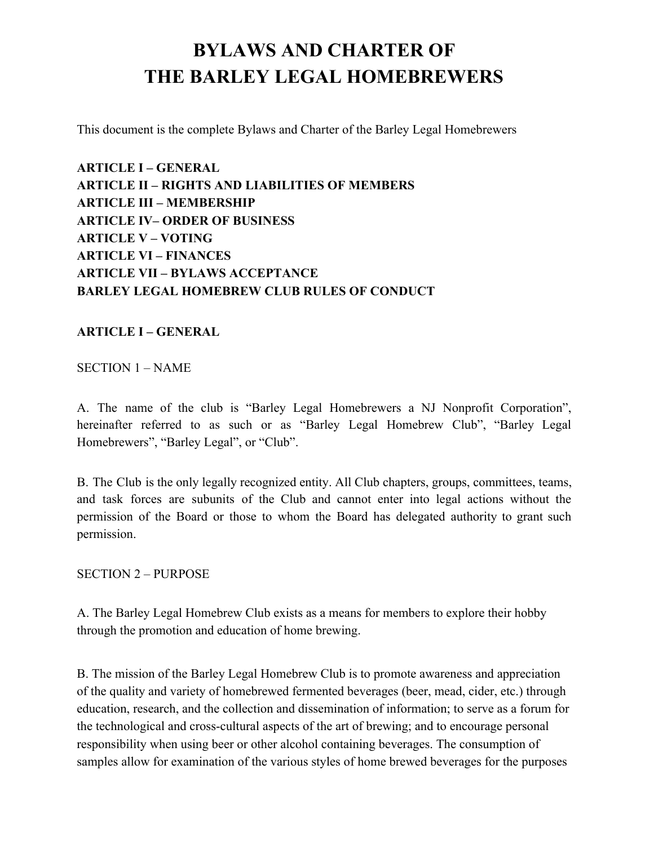# **BYLAWS AND CHARTER OF THE BARLEY LEGAL HOMEBREWERS**

This document is the complete Bylaws and Charter of the Barley Legal Homebrewers

**ARTICLE I – GENERAL ARTICLE II – RIGHTS AND LIABILITIES OF MEMBERS ARTICLE III – MEMBERSHIP ARTICLE IV– ORDER OF BUSINESS ARTICLE V – VOTING ARTICLE VI – FINANCES ARTICLE VII – BYLAWS ACCEPTANCE BARLEY LEGAL HOMEBREW CLUB RULES OF CONDUCT**

### **ARTICLE I – GENERAL**

#### SECTION 1 – NAME

A. The name of the club is "Barley Legal Homebrewers a NJ Nonprofit Corporation", hereinafter referred to as such or as "Barley Legal Homebrew Club", "Barley Legal Homebrewers", "Barley Legal", or "Club".

B. The Club is the only legally recognized entity. All Club chapters, groups, committees, teams, and task forces are subunits of the Club and cannot enter into legal actions without the permission of the Board or those to whom the Board has delegated authority to grant such permission.

#### SECTION 2 – PURPOSE

A. The Barley Legal Homebrew Club exists as a means for members to explore their hobby through the promotion and education of home brewing.

B. The mission of the Barley Legal Homebrew Club is to promote awareness and appreciation of the quality and variety of homebrewed fermented beverages (beer, mead, cider, etc.) through education, research, and the collection and dissemination of information; to serve as a forum for the technological and cross-cultural aspects of the art of brewing; and to encourage personal responsibility when using beer or other alcohol containing beverages. The consumption of samples allow for examination of the various styles of home brewed beverages for the purposes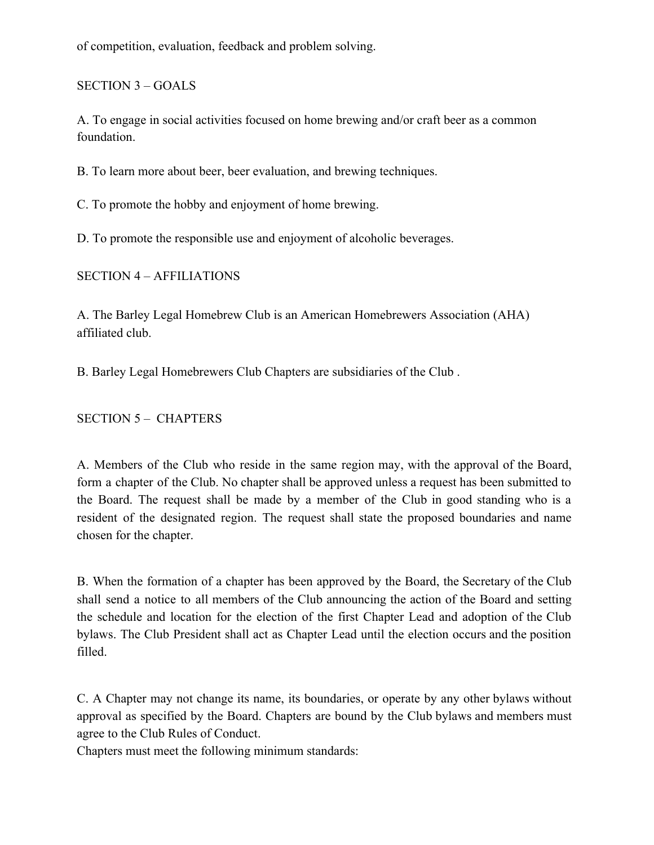of competition, evaluation, feedback and problem solving.

SECTION 3 – GOALS

A. To engage in social activities focused on home brewing and/or craft beer as a common foundation.

B. To learn more about beer, beer evaluation, and brewing techniques.

C. To promote the hobby and enjoyment of home brewing.

D. To promote the responsible use and enjoyment of alcoholic beverages.

SECTION 4 – AFFILIATIONS

A. The Barley Legal Homebrew Club is an American Homebrewers Association (AHA) affiliated club.

B. Barley Legal Homebrewers Club Chapters are subsidiaries of the Club .

SECTION 5 – CHAPTERS

A. Members of the Club who reside in the same region may, with the approval of the Board, form a chapter of the Club. No chapter shall be approved unless a request has been submitted to the Board. The request shall be made by a member of the Club in good standing who is a resident of the designated region. The request shall state the proposed boundaries and name chosen for the chapter.

B. When the formation of a chapter has been approved by the Board, the Secretary of the Club shall send a notice to all members of the Club announcing the action of the Board and setting the schedule and location for the election of the first Chapter Lead and adoption of the Club bylaws. The Club President shall act as Chapter Lead until the election occurs and the position filled.

C. A Chapter may not change its name, its boundaries, or operate by any other bylaws without approval as specified by the Board. Chapters are bound by the Club bylaws and members must agree to the Club Rules of Conduct.

Chapters must meet the following minimum standards: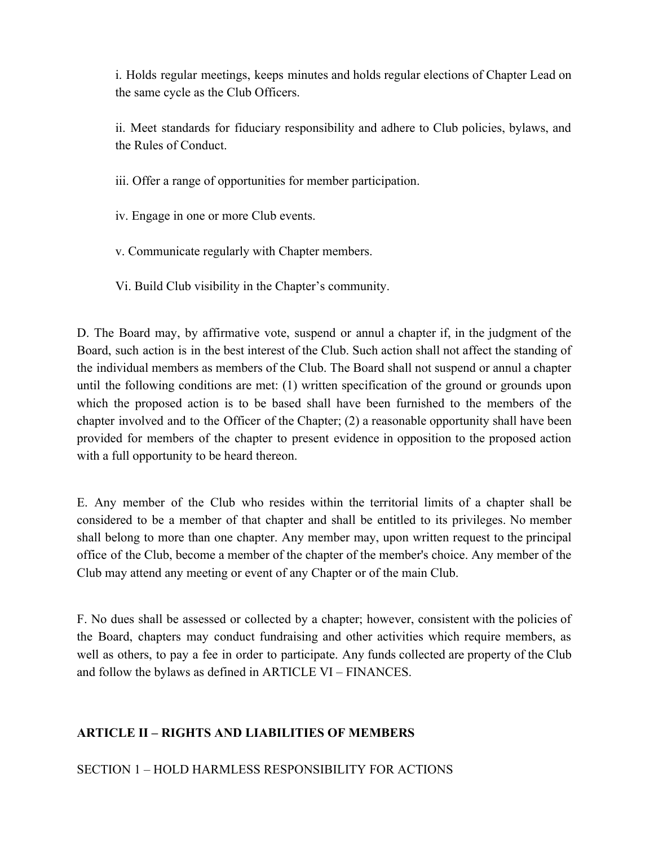i. Holds regular meetings, keeps minutes and holds regular elections of Chapter Lead on the same cycle as the Club Officers.

ii. Meet standards for fiduciary responsibility and adhere to Club policies, bylaws, and the Rules of Conduct.

iii. Offer a range of opportunities for member participation.

iv. Engage in one or more Club events.

v. Communicate regularly with Chapter members.

Vi. Build Club visibility in the Chapter's community.

D. The Board may, by affirmative vote, suspend or annul a chapter if, in the judgment of the Board, such action is in the best interest of the Club. Such action shall not affect the standing of the individual members as members of the Club. The Board shall not suspend or annul a chapter until the following conditions are met: (1) written specification of the ground or grounds upon which the proposed action is to be based shall have been furnished to the members of the chapter involved and to the Officer of the Chapter; (2) a reasonable opportunity shall have been provided for members of the chapter to present evidence in opposition to the proposed action with a full opportunity to be heard thereon.

E. Any member of the Club who resides within the territorial limits of a chapter shall be considered to be a member of that chapter and shall be entitled to its privileges. No member shall belong to more than one chapter. Any member may, upon written request to the principal office of the Club, become a member of the chapter of the member's choice. Any member of the Club may attend any meeting or event of any Chapter or of the main Club.

F. No dues shall be assessed or collected by a chapter; however, consistent with the policies of the Board, chapters may conduct fundraising and other activities which require members, as well as others, to pay a fee in order to participate. Any funds collected are property of the Club and follow the bylaws as defined in ARTICLE VI – FINANCES.

### **ARTICLE II – RIGHTS AND LIABILITIES OF MEMBERS**

SECTION 1 – HOLD HARMLESS RESPONSIBILITY FOR ACTIONS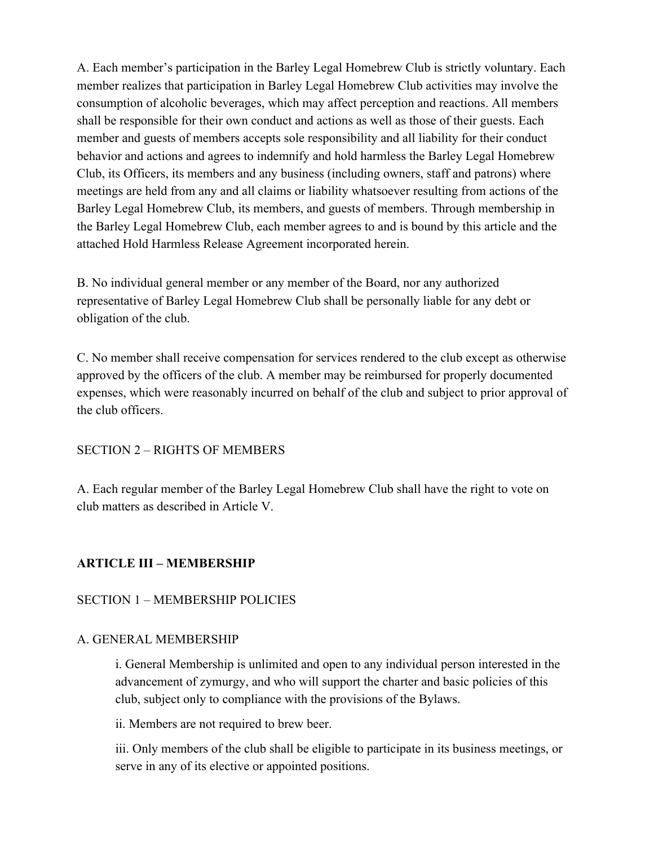A. Each member's participation in the Barley Legal Homebrew Club is strictly voluntary. Each member realizes that participation in Barley Legal Homebrew Club activities may involve the consumption of alcoholic beverages, which may affect perception and reactions. All members shall be responsible for their own conduct and actions as well as those of their guests. Each member and guests of members accepts sole responsibility and all liability for their conduct behavior and actions and agrees to indemnify and hold harmless the Barley Legal Homebrew Club, its Officers, its members and any business (including owners, staff and patrons) where meetings are held from any and all claims or liability whatsoever resulting from actions of the Barley Legal Homebrew Club, its members, and guests of members. Through membership in the Barley Legal Homebrew Club, each member agrees to and is bound by this article and the attached Hold Harmless Release Agreement incorporated herein.

B. No individual general member or any member of the Board, nor any authorized representative of Barley Legal Homebrew Club shall be personally liable for any debt or obligation of the club.

C. No member shall receive compensation for services rendered to the club except as otherwise approved by the officers of the club. A member may be reimbursed for properly documented expenses, which were reasonably incurred on behalf of the club and subject to prior approval of the club officers.

### SECTION 2 – RIGHTS OF MEMBERS

A. Each regular member of the Barley Legal Homebrew Club shall have the right to vote on club matters as described in Article V.

### **ARTICLE III – MEMBERSHIP**

#### SECTION 1 – MEMBERSHIP POLICIES

#### A. GENERAL MEMBERSHIP

i. General Membership is unlimited and open to any individual person interested in the advancement of zymurgy, and who will support the charter and basic policies of this club, subject only to compliance with the provisions of the Bylaws.

ii. Members are not required to brew beer.

iii. Only members of the club shall be eligible to participate in its business meetings, or serve in any of its elective or appointed positions.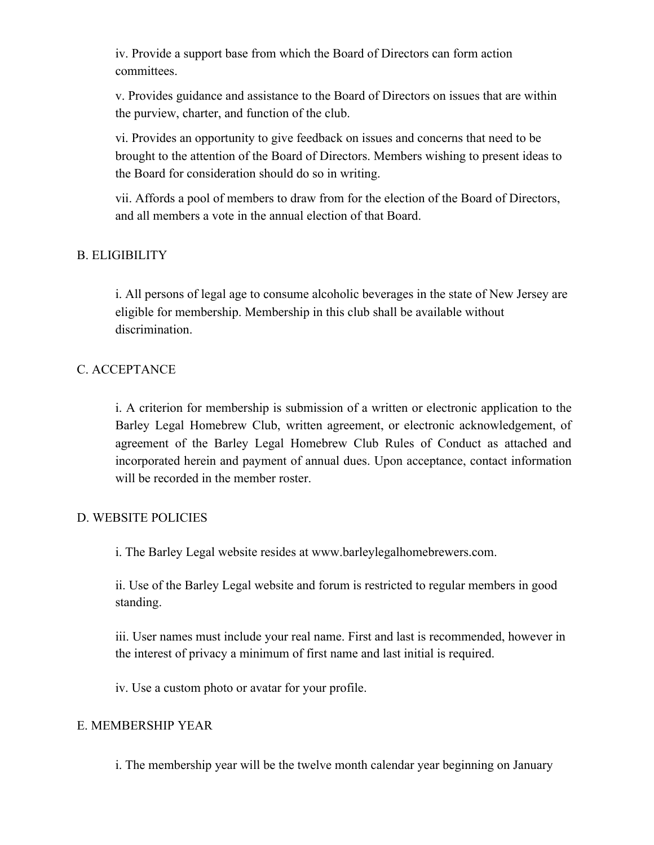iv. Provide a support base from which the Board of Directors can form action committees.

v. Provides guidance and assistance to the Board of Directors on issues that are within the purview, charter, and function of the club.

vi. Provides an opportunity to give feedback on issues and concerns that need to be brought to the attention of the Board of Directors. Members wishing to present ideas to the Board for consideration should do so in writing.

vii. Affords a pool of members to draw from for the election of the Board of Directors, and all members a vote in the annual election of that Board.

### B. ELIGIBILITY

i. All persons of legal age to consume alcoholic beverages in the state of New Jersey are eligible for membership. Membership in this club shall be available without discrimination.

### C. ACCEPTANCE

i. A criterion for membership is submission of a written or electronic application to the Barley Legal Homebrew Club, written agreement, or electronic acknowledgement, of agreement of the Barley Legal Homebrew Club Rules of Conduct as attached and incorporated herein and payment of annual dues. Upon acceptance, contact information will be recorded in the member roster.

#### D. WEBSITE POLICIES

i. The Barley Legal website resides at www.barleylegalhomebrewers.com.

ii. Use of the Barley Legal website and forum is restricted to regular members in good standing.

iii. User names must include your real name. First and last is recommended, however in the interest of privacy a minimum of first name and last initial is required.

iv. Use a custom photo or avatar for your profile.

### E. MEMBERSHIP YEAR

i. The membership year will be the twelve month calendar year beginning on January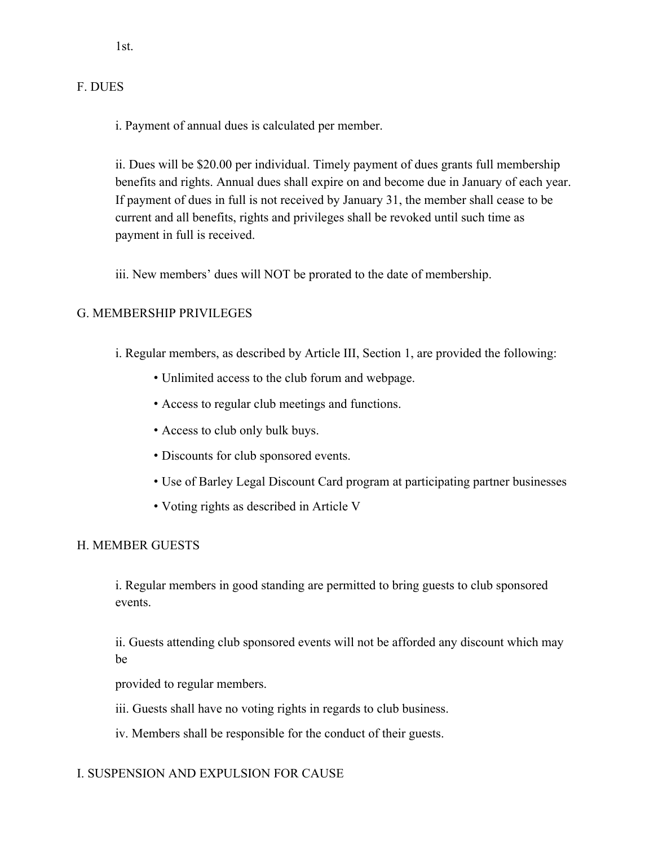1st.

### F. DUES

i. Payment of annual dues is calculated per member.

ii. Dues will be \$20.00 per individual. Timely payment of dues grants full membership benefits and rights. Annual dues shall expire on and become due in January of each year. If payment of dues in full is not received by January 31, the member shall cease to be current and all benefits, rights and privileges shall be revoked until such time as payment in full is received.

iii. New members' dues will NOT be prorated to the date of membership.

### G. MEMBERSHIP PRIVILEGES

- i. Regular members, as described by Article III, Section 1, are provided the following:
	- Unlimited access to the club forum and webpage.
	- Access to regular club meetings and functions.
	- Access to club only bulk buys.
	- Discounts for club sponsored events.
	- Use of Barley Legal Discount Card program at participating partner businesses
	- Voting rights as described in Article V

### H. MEMBER GUESTS

i. Regular members in good standing are permitted to bring guests to club sponsored events.

ii. Guests attending club sponsored events will not be afforded any discount which may be

provided to regular members.

iii. Guests shall have no voting rights in regards to club business.

iv. Members shall be responsible for the conduct of their guests.

### I. SUSPENSION AND EXPULSION FOR CAUSE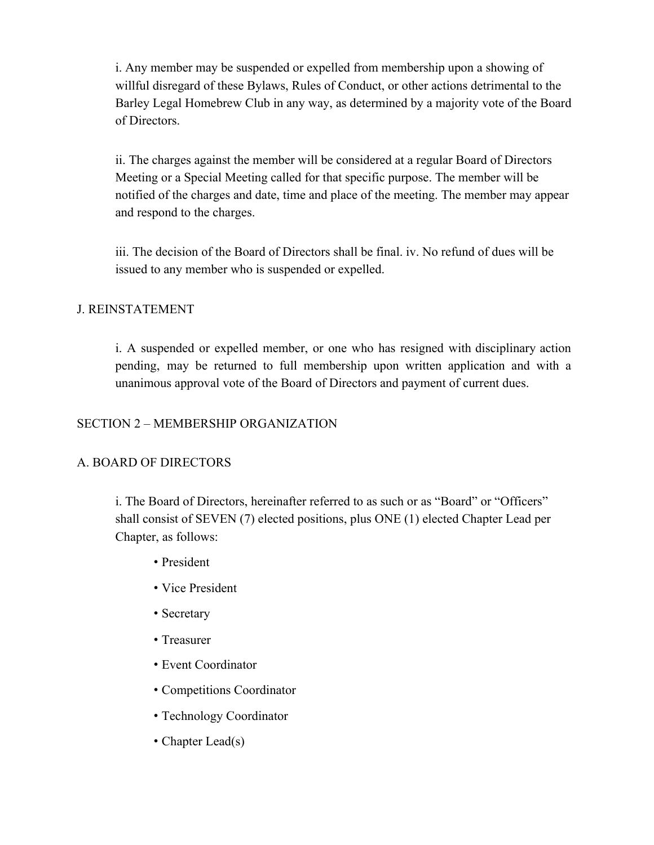i. Any member may be suspended or expelled from membership upon a showing of willful disregard of these Bylaws, Rules of Conduct, or other actions detrimental to the Barley Legal Homebrew Club in any way, as determined by a majority vote of the Board of Directors.

ii. The charges against the member will be considered at a regular Board of Directors Meeting or a Special Meeting called for that specific purpose. The member will be notified of the charges and date, time and place of the meeting. The member may appear and respond to the charges.

iii. The decision of the Board of Directors shall be final. iv. No refund of dues will be issued to any member who is suspended or expelled.

### J. REINSTATEMENT

i. A suspended or expelled member, or one who has resigned with disciplinary action pending, may be returned to full membership upon written application and with a unanimous approval vote of the Board of Directors and payment of current dues.

### SECTION 2 – MEMBERSHIP ORGANIZATION

### A. BOARD OF DIRECTORS

i. The Board of Directors, hereinafter referred to as such or as "Board" or "Officers" shall consist of SEVEN (7) elected positions, plus ONE (1) elected Chapter Lead per Chapter, as follows:

- President
- Vice President
- Secretary
- Treasurer
- Event Coordinator
- Competitions Coordinator
- Technology Coordinator
- Chapter Lead(s)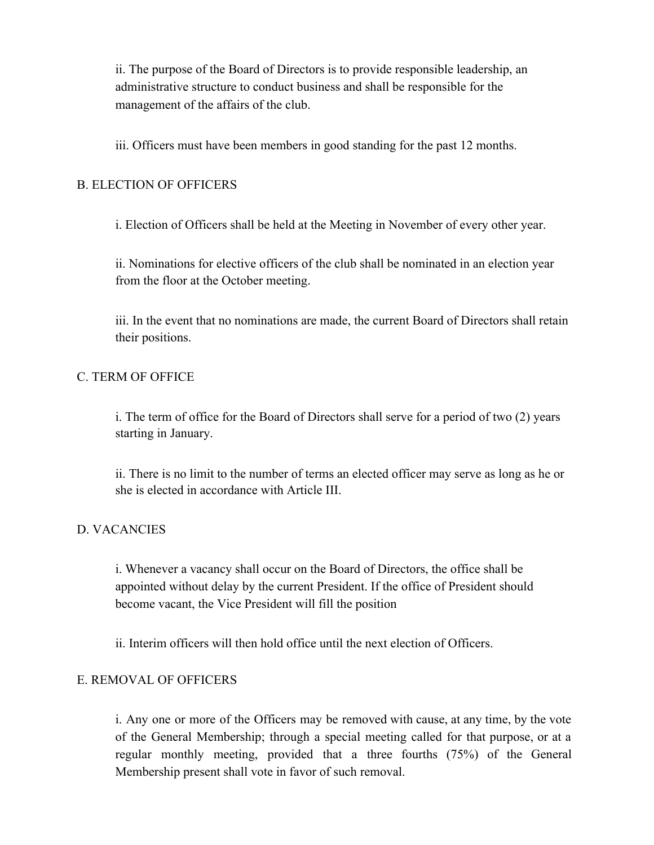ii. The purpose of the Board of Directors is to provide responsible leadership, an administrative structure to conduct business and shall be responsible for the management of the affairs of the club.

iii. Officers must have been members in good standing for the past 12 months.

### B. ELECTION OF OFFICERS

i. Election of Officers shall be held at the Meeting in November of every other year.

ii. Nominations for elective officers of the club shall be nominated in an election year from the floor at the October meeting.

iii. In the event that no nominations are made, the current Board of Directors shall retain their positions.

### C. TERM OF OFFICE

i. The term of office for the Board of Directors shall serve for a period of two (2) years starting in January.

ii. There is no limit to the number of terms an elected officer may serve as long as he or she is elected in accordance with Article III.

### D. VACANCIES

i. Whenever a vacancy shall occur on the Board of Directors, the office shall be appointed without delay by the current President. If the office of President should become vacant, the Vice President will fill the position

ii. Interim officers will then hold office until the next election of Officers.

#### E. REMOVAL OF OFFICERS

i. Any one or more of the Officers may be removed with cause, at any time, by the vote of the General Membership; through a special meeting called for that purpose, or at a regular monthly meeting, provided that a three fourths (75%) of the General Membership present shall vote in favor of such removal.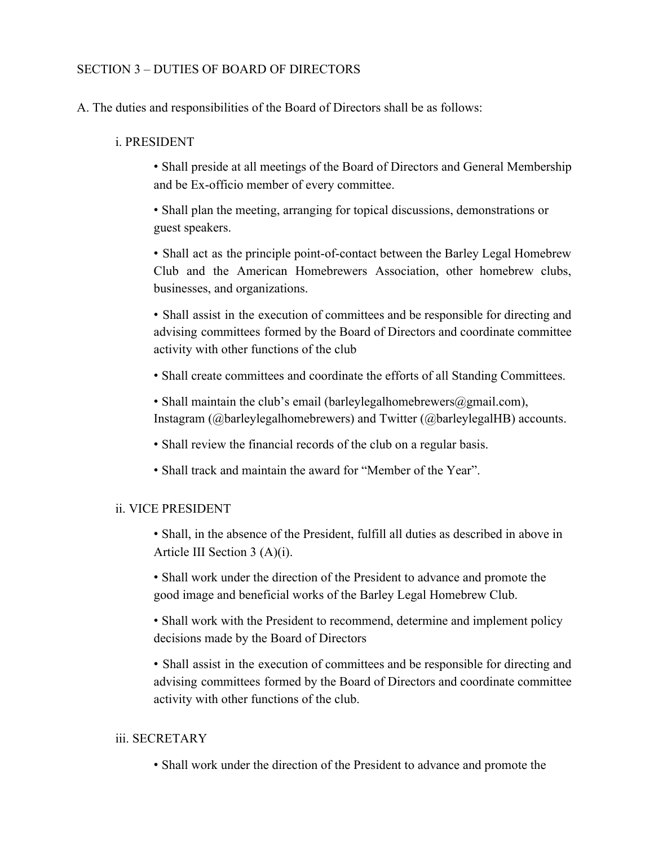### SECTION 3 – DUTIES OF BOARD OF DIRECTORS

A. The duties and responsibilities of the Board of Directors shall be as follows:

#### i. PRESIDENT

• Shall preside at all meetings of the Board of Directors and General Membership and be Ex-officio member of every committee.

• Shall plan the meeting, arranging for topical discussions, demonstrations or guest speakers.

• Shall act as the principle point-of-contact between the Barley Legal Homebrew Club and the American Homebrewers Association, other homebrew clubs, businesses, and organizations.

• Shall assist in the execution of committees and be responsible for directing and advising committees formed by the Board of Directors and coordinate committee activity with other functions of the club

- Shall create committees and coordinate the efforts of all Standing Committees.
- Shall maintain the club's email (barleylegalhomebrewers $\omega$ gmail.com), Instagram (@barleylegalhomebrewers) and Twitter (@barleylegalHB) accounts.
- Shall review the financial records of the club on a regular basis.
- Shall track and maintain the award for "Member of the Year".

#### ii. VICE PRESIDENT

• Shall, in the absence of the President, fulfill all duties as described in above in Article III Section 3 (A)(i).

• Shall work under the direction of the President to advance and promote the good image and beneficial works of the Barley Legal Homebrew Club.

• Shall work with the President to recommend, determine and implement policy decisions made by the Board of Directors

• Shall assist in the execution of committees and be responsible for directing and advising committees formed by the Board of Directors and coordinate committee activity with other functions of the club.

#### iii. SECRETARY

• Shall work under the direction of the President to advance and promote the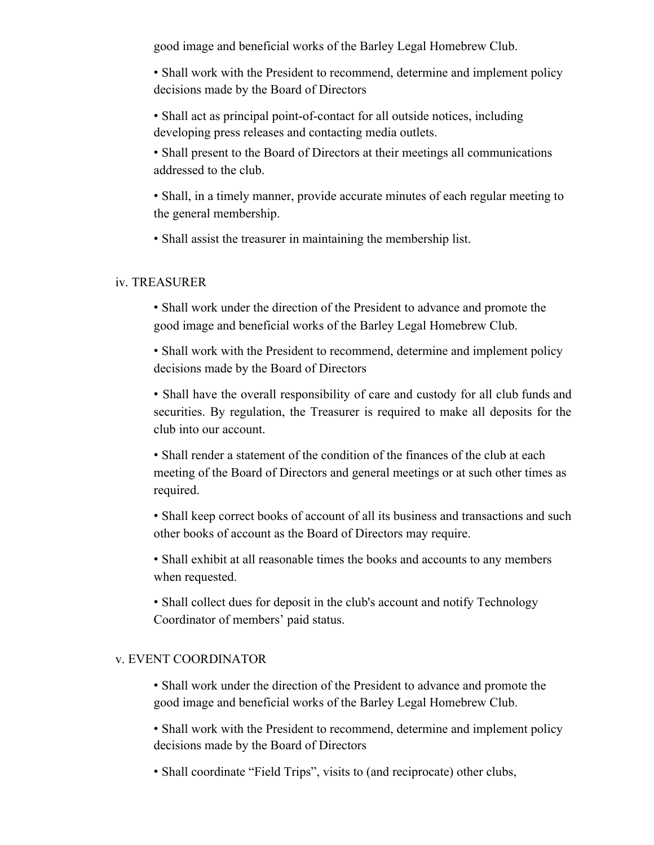good image and beneficial works of the Barley Legal Homebrew Club.

• Shall work with the President to recommend, determine and implement policy decisions made by the Board of Directors

• Shall act as principal point-of-contact for all outside notices, including developing press releases and contacting media outlets.

• Shall present to the Board of Directors at their meetings all communications addressed to the club.

• Shall, in a timely manner, provide accurate minutes of each regular meeting to the general membership.

• Shall assist the treasurer in maintaining the membership list.

#### iv. TREASURER

• Shall work under the direction of the President to advance and promote the good image and beneficial works of the Barley Legal Homebrew Club.

• Shall work with the President to recommend, determine and implement policy decisions made by the Board of Directors

• Shall have the overall responsibility of care and custody for all club funds and securities. By regulation, the Treasurer is required to make all deposits for the club into our account.

• Shall render a statement of the condition of the finances of the club at each meeting of the Board of Directors and general meetings or at such other times as required.

• Shall keep correct books of account of all its business and transactions and such other books of account as the Board of Directors may require.

• Shall exhibit at all reasonable times the books and accounts to any members when requested.

• Shall collect dues for deposit in the club's account and notify Technology Coordinator of members' paid status.

### v. EVENT COORDINATOR

• Shall work under the direction of the President to advance and promote the good image and beneficial works of the Barley Legal Homebrew Club.

• Shall work with the President to recommend, determine and implement policy decisions made by the Board of Directors

• Shall coordinate "Field Trips", visits to (and reciprocate) other clubs,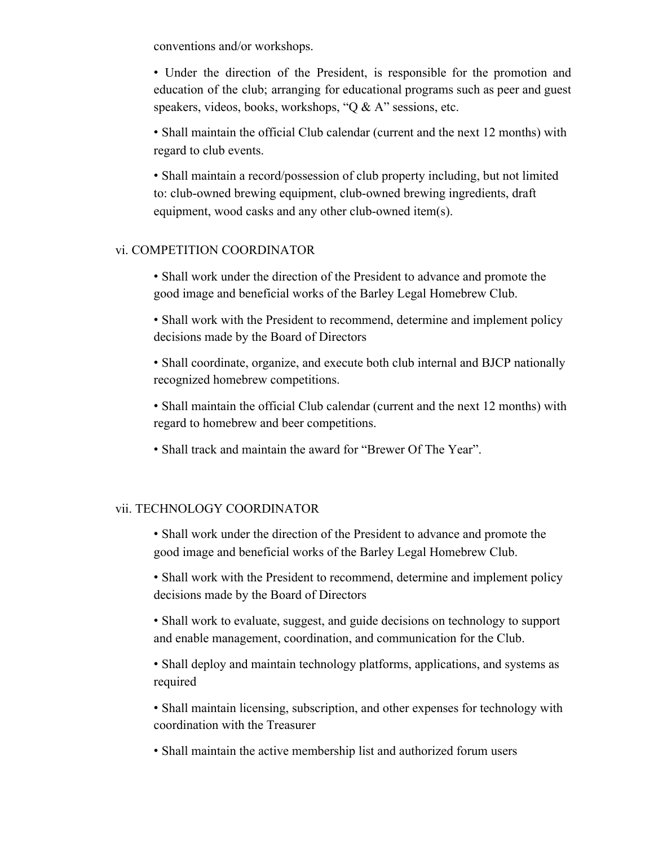conventions and/or workshops.

• Under the direction of the President, is responsible for the promotion and education of the club; arranging for educational programs such as peer and guest speakers, videos, books, workshops, "Q & A" sessions, etc.

• Shall maintain the official Club calendar (current and the next 12 months) with regard to club events.

• Shall maintain a record/possession of club property including, but not limited to: club-owned brewing equipment, club-owned brewing ingredients, draft equipment, wood casks and any other club-owned item(s).

#### vi. COMPETITION COORDINATOR

• Shall work under the direction of the President to advance and promote the good image and beneficial works of the Barley Legal Homebrew Club.

• Shall work with the President to recommend, determine and implement policy decisions made by the Board of Directors

• Shall coordinate, organize, and execute both club internal and BJCP nationally recognized homebrew competitions.

• Shall maintain the official Club calendar (current and the next 12 months) with regard to homebrew and beer competitions.

• Shall track and maintain the award for "Brewer Of The Year".

### vii. TECHNOLOGY COORDINATOR

• Shall work under the direction of the President to advance and promote the good image and beneficial works of the Barley Legal Homebrew Club.

• Shall work with the President to recommend, determine and implement policy decisions made by the Board of Directors

• Shall work to evaluate, suggest, and guide decisions on technology to support and enable management, coordination, and communication for the Club.

• Shall deploy and maintain technology platforms, applications, and systems as required

• Shall maintain licensing, subscription, and other expenses for technology with coordination with the Treasurer

• Shall maintain the active membership list and authorized forum users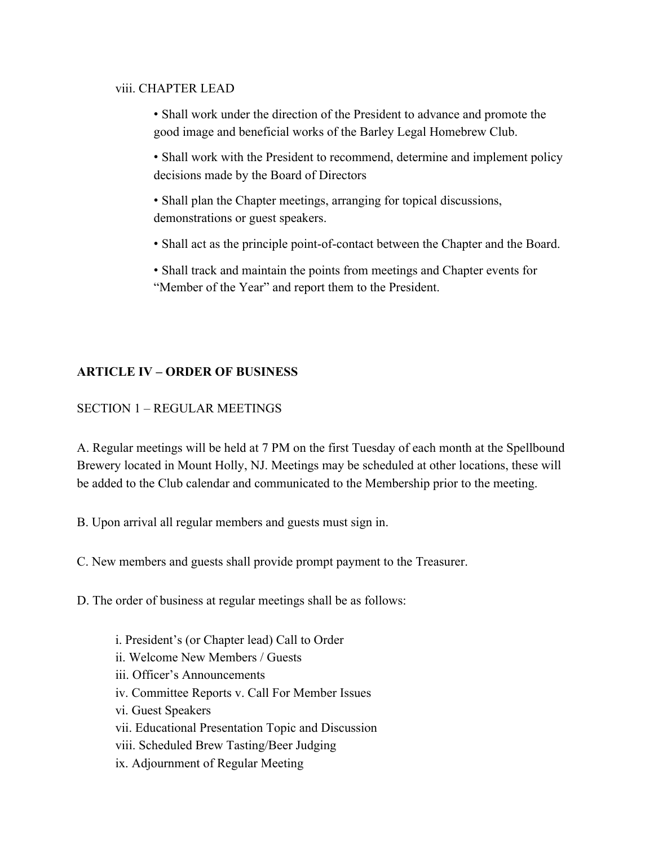#### viii. CHAPTER LEAD

- Shall work under the direction of the President to advance and promote the good image and beneficial works of the Barley Legal Homebrew Club.
- Shall work with the President to recommend, determine and implement policy decisions made by the Board of Directors
- Shall plan the Chapter meetings, arranging for topical discussions, demonstrations or guest speakers.
- Shall act as the principle point-of-contact between the Chapter and the Board.
- Shall track and maintain the points from meetings and Chapter events for "Member of the Year" and report them to the President.

### **ARTICLE IV – ORDER OF BUSINESS**

### SECTION 1 – REGULAR MEETINGS

A. Regular meetings will be held at 7 PM on the first Tuesday of each month at the Spellbound Brewery located in Mount Holly, NJ. Meetings may be scheduled at other locations, these will be added to the Club calendar and communicated to the Membership prior to the meeting.

- B. Upon arrival all regular members and guests must sign in.
- C. New members and guests shall provide prompt payment to the Treasurer.
- D. The order of business at regular meetings shall be as follows:
	- i. President's (or Chapter lead) Call to Order ii. Welcome New Members / Guests iii. Officer's Announcements iv. Committee Reports v. Call For Member Issues vi. Guest Speakers vii. Educational Presentation Topic and Discussion viii. Scheduled Brew Tasting/Beer Judging ix. Adjournment of Regular Meeting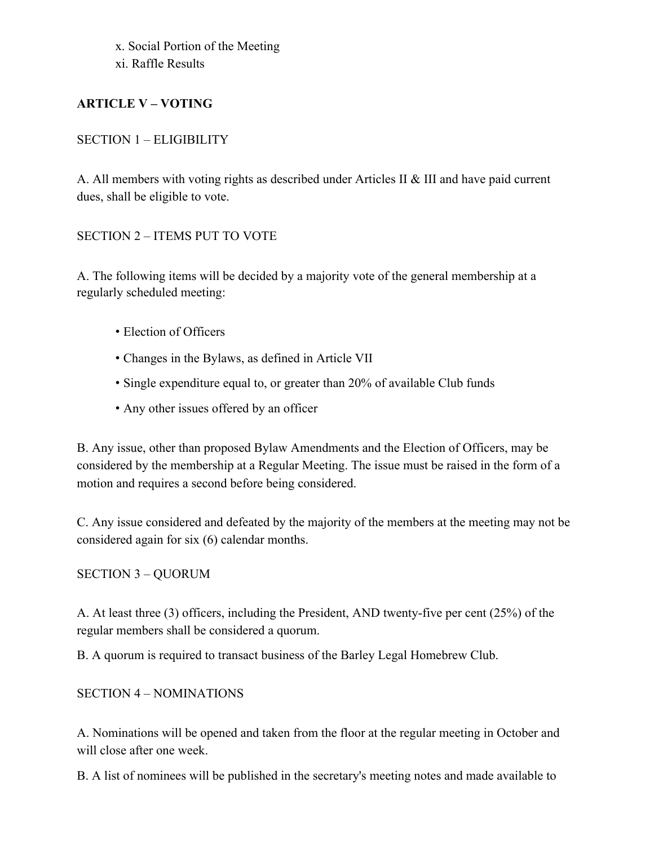x. Social Portion of the Meeting xi. Raffle Results

### **ARTICLE V – VOTING**

### SECTION 1 – ELIGIBILITY

A. All members with voting rights as described under Articles II & III and have paid current dues, shall be eligible to vote.

### SECTION 2 – ITEMS PUT TO VOTE

A. The following items will be decided by a majority vote of the general membership at a regularly scheduled meeting:

- Election of Officers
- Changes in the Bylaws, as defined in Article VII
- Single expenditure equal to, or greater than 20% of available Club funds
- Any other issues offered by an officer

B. Any issue, other than proposed Bylaw Amendments and the Election of Officers, may be considered by the membership at a Regular Meeting. The issue must be raised in the form of a motion and requires a second before being considered.

C. Any issue considered and defeated by the majority of the members at the meeting may not be considered again for six (6) calendar months.

### SECTION 3 – QUORUM

A. At least three (3) officers, including the President, AND twenty-five per cent (25%) of the regular members shall be considered a quorum.

B. A quorum is required to transact business of the Barley Legal Homebrew Club.

### SECTION 4 – NOMINATIONS

A. Nominations will be opened and taken from the floor at the regular meeting in October and will close after one week.

B. A list of nominees will be published in the secretary's meeting notes and made available to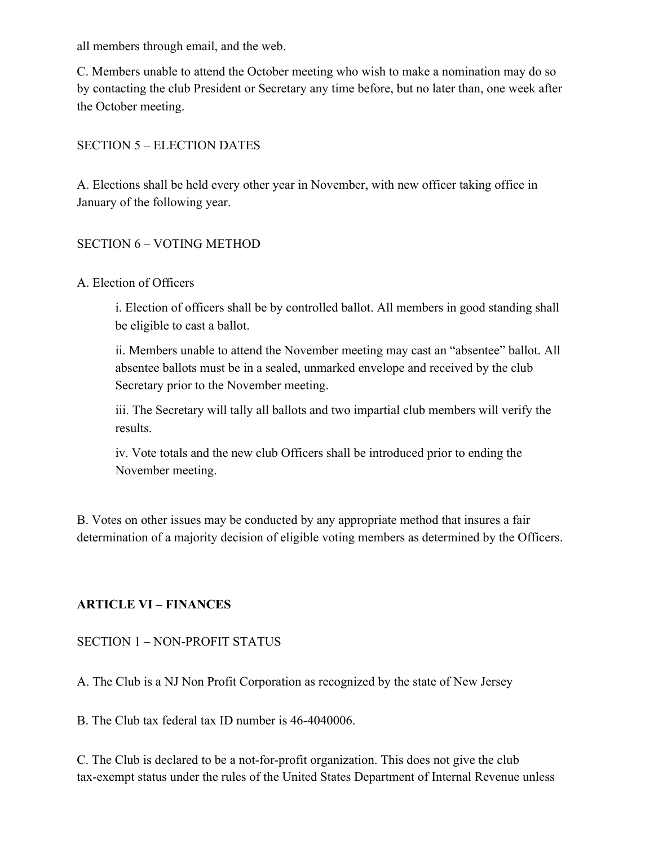all members through email, and the web.

C. Members unable to attend the October meeting who wish to make a nomination may do so by contacting the club President or Secretary any time before, but no later than, one week after the October meeting.

### SECTION 5 – ELECTION DATES

A. Elections shall be held every other year in November, with new officer taking office in January of the following year.

### SECTION 6 – VOTING METHOD

### A. Election of Officers

i. Election of officers shall be by controlled ballot. All members in good standing shall be eligible to cast a ballot.

ii. Members unable to attend the November meeting may cast an "absentee" ballot. All absentee ballots must be in a sealed, unmarked envelope and received by the club Secretary prior to the November meeting.

iii. The Secretary will tally all ballots and two impartial club members will verify the results.

iv. Vote totals and the new club Officers shall be introduced prior to ending the November meeting.

B. Votes on other issues may be conducted by any appropriate method that insures a fair determination of a majority decision of eligible voting members as determined by the Officers.

### **ARTICLE VI – FINANCES**

SECTION 1 – NON-PROFIT STATUS

A. The Club is a NJ Non Profit Corporation as recognized by the state of New Jersey

B. The Club tax federal tax ID number is 46-4040006.

C. The Club is declared to be a not-for-profit organization. This does not give the club tax-exempt status under the rules of the United States Department of Internal Revenue unless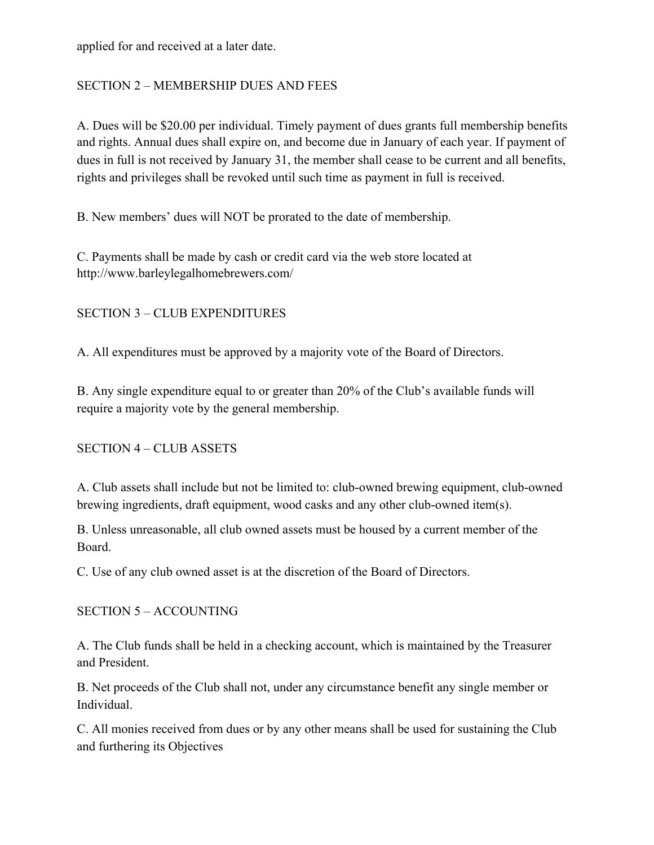applied for and received at a later date.

### SECTION 2 – MEMBERSHIP DUES AND FEES

A. Dues will be \$20.00 per individual. Timely payment of dues grants full membership benefits and rights. Annual dues shall expire on, and become due in January of each year. If payment of dues in full is not received by January 31, the member shall cease to be current and all benefits, rights and privileges shall be revoked until such time as payment in full is received.

B. New members' dues will NOT be prorated to the date of membership.

C. Payments shall be made by cash or credit card via the web store located at http://www.barleylegalhomebrewers.com/

### SECTION 3 – CLUB EXPENDITURES

A. All expenditures must be approved by a majority vote of the Board of Directors.

B. Any single expenditure equal to or greater than 20% of the Club's available funds will require a majority vote by the general membership.

SECTION 4 – CLUB ASSETS

A. Club assets shall include but not be limited to: club-owned brewing equipment, club-owned brewing ingredients, draft equipment, wood casks and any other club-owned item(s).

B. Unless unreasonable, all club owned assets must be housed by a current member of the Board.

C. Use of any club owned asset is at the discretion of the Board of Directors.

SECTION 5 – ACCOUNTING

A. The Club funds shall be held in a checking account, which is maintained by the Treasurer and President.

B. Net proceeds of the Club shall not, under any circumstance benefit any single member or Individual.

C. All monies received from dues or by any other means shall be used for sustaining the Club and furthering its Objectives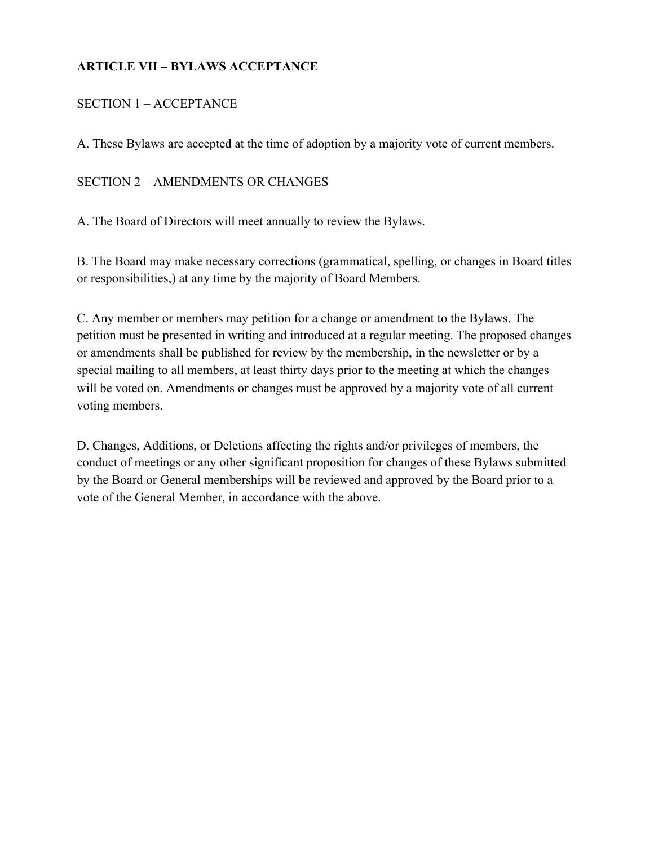### **ARTICLE VII – BYLAWS ACCEPTANCE**

### SECTION 1 – ACCEPTANCE

A. These Bylaws are accepted at the time of adoption by a majority vote of current members.

### SECTION 2 – AMENDMENTS OR CHANGES

A. The Board of Directors will meet annually to review the Bylaws.

B. The Board may make necessary corrections (grammatical, spelling, or changes in Board titles or responsibilities,) at any time by the majority of Board Members.

C. Any member or members may petition for a change or amendment to the Bylaws. The petition must be presented in writing and introduced at a regular meeting. The proposed changes or amendments shall be published for review by the membership, in the newsletter or by a special mailing to all members, at least thirty days prior to the meeting at which the changes will be voted on. Amendments or changes must be approved by a majority vote of all current voting members.

D. Changes, Additions, or Deletions affecting the rights and/or privileges of members, the conduct of meetings or any other significant proposition for changes of these Bylaws submitted by the Board or General memberships will be reviewed and approved by the Board prior to a vote of the General Member, in accordance with the above.